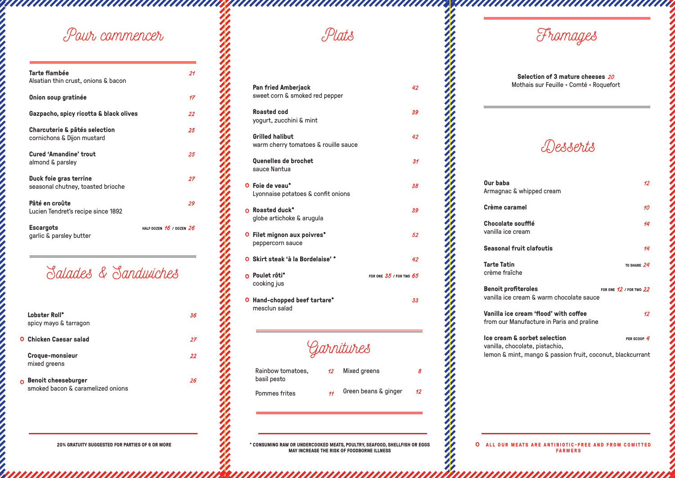*Garnitures*

**\* CONSUMING RAW OR UNDERCOOKED MEATS, POULTRY, SEAFOOD, SHELLFISH OR EGGS MAY INCREASE THE RISK OF FOODBORNE ILLNESS**

O ALL OUR MEATS ARE ANTIBIOTIC-FREE AND FROM COMITTED **FARMERS**

*Plats*

**20% GRATUITY SUGGESTED FOR PARTIES OF 6 OR MORE**

## *Pour commencer*

adalahan daha daha daha da

# *Salades & Sandwiches*

*Fromages*

aanaan xaanaanaanaanaanaanaanaan

**Selection of 3 mature cheeses** *20* Mothais sur Feuille • Comté • Roquefort

| <b>Tarte flambée</b><br>Alsatian thin crust, onions & bacon | 21                           |
|-------------------------------------------------------------|------------------------------|
| Onion soup gratinée                                         | 17                           |
| Gazpacho, spicy ricotta & black olives                      | 22                           |
| Charcuterie & pâtés selection<br>cornichons & Dijon mustard | 25                           |
| <b>Cured 'Amandine' trout</b><br>almond & parsley           | 25                           |
| Duck foie gras terrine<br>seasonal chutney, toasted brioche | 27                           |
| Pâté en croûte<br>Lucien Tendret's recipe since 1892        | 29                           |
| <b>Escargots</b><br>garlic & parsley butter                 | HALF DOZEN $16$ / DOZEN $26$ |

**Chocolate soufflé** *14* vanilla ice

**Seasonal** 

**Tarte Tatil** crème fraî

**Benoit pro** vanilla ice

**Vanilla ice** from our M

| Lobster Roll*<br>spicy mayo & tarragon | 36 |
|----------------------------------------|----|
| O  Chicken Caesar salad                | 27 |
| <b>Croque-monsieur</b><br>mixed greens | 22 |
|                                        |    |

**Benoit cheeseburger** *26* O smoked bacon & caramelized onions

 $Ice$  cream vanilla, ch lemon & mint, mango & passion fruit, coconut, blackcurrant

| <b>Pan fried Amberjack</b><br>sweet corn & smoked red pepper   |                                                                                                                                                          | 42 |
|----------------------------------------------------------------|----------------------------------------------------------------------------------------------------------------------------------------------------------|----|
| <b>Roasted cod</b><br>yogurt, zucchini & mint                  |                                                                                                                                                          | 39 |
| <b>Grilled halibut</b><br>warm cherry tomatoes & rouille sauce |                                                                                                                                                          | 42 |
| Quenelles de brochet<br>sauce Nantua                           |                                                                                                                                                          | 31 |
| Lyonnaise potatoes & confit onions                             |                                                                                                                                                          | 38 |
| globe artichoke & arugula                                      |                                                                                                                                                          | 39 |
| peppercorn sauce                                               |                                                                                                                                                          | 52 |
|                                                                |                                                                                                                                                          | 42 |
| cooking jus                                                    | FOR ONE $35$ / FOR TWO $65$                                                                                                                              |    |
| mesclun salad                                                  |                                                                                                                                                          | 33 |
|                                                                | O Foie de veau*<br>O Roasted duck*<br>O Filet mignon aux poivres*<br>O Skirt steak 'à la Bordelaise' *<br>O Poulet rôti*<br>O Hand-chopped beef tartare* |    |

Rainbow tomatoes, *12* basil pesto

Pommes frites *11*

Mixed greens *8*

Green beans & ginger 12

**Our baba** Armagnac

**Crème ca** 

*Desserts*

| : & whipped cream                                               | 12                          |
|-----------------------------------------------------------------|-----------------------------|
| ramel                                                           | 10                          |
| e soufflé<br>eream :                                            | 14                          |
| fruit clafoutis                                                 | 14                          |
| n<br>îche                                                       | TO SHARE $24$               |
| ofiteroles<br>eream & warm chocolate sauce :                    | FOR ONE $12$ / FOR TWO $22$ |
| e cream 'flood' with coffee<br>Manufacture in Paris and praline | 12 <sup>°</sup>             |
| ا & sorbet selection<br>nocolate, pistachio,                    | PER SCOOP $4$               |